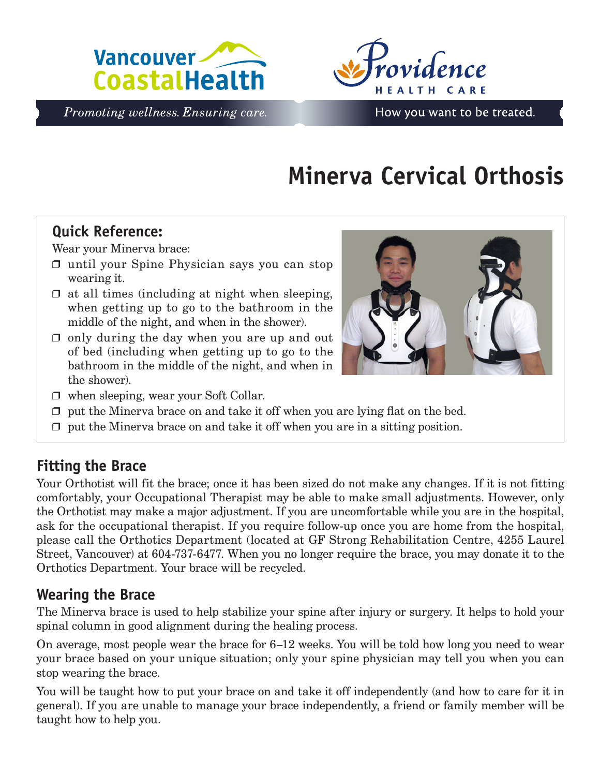



Promoting wellness. Ensuring care.

# **Minerva Cervical Orthosis**

## **Quick Reference:**

Wear your Minerva brace:

- ❒ until your Spine Physician says you can stop wearing it.
- $\Box$  at all times (including at night when sleeping, when getting up to go to the bathroom in the middle of the night, and when in the shower).
- $\Box$  only during the day when you are up and out of bed (including when getting up to go to the bathroom in the middle of the night, and when in the shower).



- ❒ when sleeping, wear your Soft Collar.
- $\Box$  put the Minerva brace on and take it off when you are lying flat on the bed.
- $\Box$  put the Minerva brace on and take it off when you are in a sitting position.

## **Fitting the Brace**

Your Orthotist will fit the brace; once it has been sized do not make any changes. If it is not fitting comfortably, your Occupational Therapist may be able to make small adjustments. However, only the Orthotist may make a major adjustment. If you are uncomfortable while you are in the hospital, ask for the occupational therapist. If you require follow-up once you are home from the hospital, please call the Orthotics Department (located at GF Strong Rehabilitation Centre, 4255 Laurel Street, Vancouver) at 604-737-6477. When you no longer require the brace, you may donate it to the Orthotics Department. Your brace will be recycled.

#### **Wearing the Brace**

The Minerva brace is used to help stabilize your spine after injury or surgery. It helps to hold your spinal column in good alignment during the healing process.

On average, most people wear the brace for 6–12 weeks. You will be told how long you need to wear your brace based on your unique situation; only your spine physician may tell you when you can stop wearing the brace.

You will be taught how to put your brace on and take it off independently (and how to care for it in general). If you are unable to manage your brace independently, a friend or family member will be taught how to help you.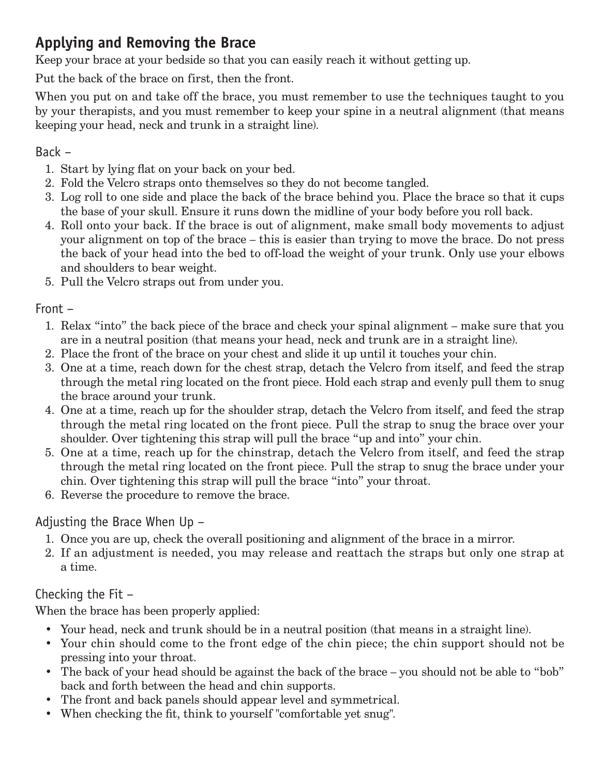## **Applying and Removing the Brace**

Keep your brace at your bedside so that you can easily reach it without getting up.

Put the back of the brace on first, then the front.

When you put on and take off the brace, you must remember to use the techniques taught to you by your therapists, and you must remember to keep your spine in a neutral alignment (that means keeping your head, neck and trunk in a straight line).

#### Back –

- 1. Start by lying flat on your back on your bed.
- 2. Fold the Velcro straps onto themselves so they do not become tangled.
- 3. Log roll to one side and place the back of the brace behind you. Place the brace so that it cups the base of your skull. Ensure it runs down the midline of your body before you roll back.
- 4. Roll onto your back. If the brace is out of alignment, make small body movements to adjust your alignment on top of the brace – this is easier than trying to move the brace. Do not press the back of your head into the bed to off-load the weight of your trunk. Only use your elbows and shoulders to bear weight.
- 5. Pull the Velcro straps out from under you.

Front –

- 1. Relax "into" the back piece of the brace and check your spinal alignment make sure that you are in a neutral position (that means your head, neck and trunk are in a straight line).
- 2. Place the front of the brace on your chest and slide it up until it touches your chin.
- 3. One at a time, reach down for the chest strap, detach the Velcro from itself, and feed the strap through the metal ring located on the front piece. Hold each strap and evenly pull them to snug the brace around your trunk.
- 4. One at a time, reach up for the shoulder strap, detach the Velcro from itself, and feed the strap through the metal ring located on the front piece. Pull the strap to snug the brace over your shoulder. Over tightening this strap will pull the brace "up and into" your chin.
- 5. One at a time, reach up for the chinstrap, detach the Velcro from itself, and feed the strap through the metal ring located on the front piece. Pull the strap to snug the brace under your chin. Over tightening this strap will pull the brace "into" your throat.
- 6. Reverse the procedure to remove the brace.

#### Adjusting the Brace When Up –

- 1. Once you are up, check the overall positioning and alignment of the brace in a mirror.
- 2. If an adjustment is needed, you may release and reattach the straps but only one strap at a time.

#### Checking the Fit –

When the brace has been properly applied:

- Your head, neck and trunk should be in a neutral position (that means in a straight line).
- Your chin should come to the front edge of the chin piece; the chin support should not be pressing into your throat.
- The back of your head should be against the back of the brace you should not be able to "bob" back and forth between the head and chin supports.
- The front and back panels should appear level and symmetrical.
- When checking the fit, think to yourself "comfortable yet snug".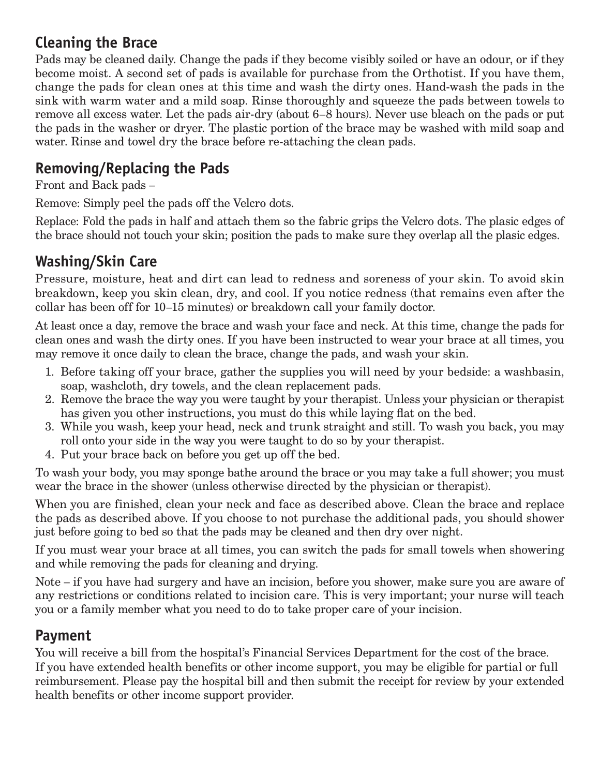### **Cleaning the Brace**

Pads may be cleaned daily. Change the pads if they become visibly soiled or have an odour, or if they become moist. A second set of pads is available for purchase from the Orthotist. If you have them, change the pads for clean ones at this time and wash the dirty ones. Hand-wash the pads in the sink with warm water and a mild soap. Rinse thoroughly and squeeze the pads between towels to remove all excess water. Let the pads air-dry (about 6–8 hours). Never use bleach on the pads or put the pads in the washer or dryer. The plastic portion of the brace may be washed with mild soap and water. Rinse and towel dry the brace before re-attaching the clean pads.

## **Removing/Replacing the Pads**

Front and Back pads –

Remove: Simply peel the pads off the Velcro dots.

Replace: Fold the pads in half and attach them so the fabric grips the Velcro dots. The plasic edges of the brace should not touch your skin; position the pads to make sure they overlap all the plasic edges.

## **Washing/Skin Care**

Pressure, moisture, heat and dirt can lead to redness and soreness of your skin. To avoid skin breakdown, keep you skin clean, dry, and cool. If you notice redness (that remains even after the collar has been off for 10–15 minutes) or breakdown call your family doctor.

At least once a day, remove the brace and wash your face and neck. At this time, change the pads for clean ones and wash the dirty ones. If you have been instructed to wear your brace at all times, you may remove it once daily to clean the brace, change the pads, and wash your skin.

- 1. Before taking off your brace, gather the supplies you will need by your bedside: a washbasin, soap, washcloth, dry towels, and the clean replacement pads.
- 2. Remove the brace the way you were taught by your therapist. Unless your physician or therapist has given you other instructions, you must do this while laying flat on the bed.
- 3. While you wash, keep your head, neck and trunk straight and still. To wash you back, you may roll onto your side in the way you were taught to do so by your therapist.
- 4. Put your brace back on before you get up off the bed.

To wash your body, you may sponge bathe around the brace or you may take a full shower; you must wear the brace in the shower (unless otherwise directed by the physician or therapist).

When you are finished, clean your neck and face as described above. Clean the brace and replace the pads as described above. If you choose to not purchase the additional pads, you should shower just before going to bed so that the pads may be cleaned and then dry over night.

If you must wear your brace at all times, you can switch the pads for small towels when showering and while removing the pads for cleaning and drying.

Note – if you have had surgery and have an incision, before you shower, make sure you are aware of any restrictions or conditions related to incision care. This is very important; your nurse will teach you or a family member what you need to do to take proper care of your incision.

## **Payment**

You will receive a bill from the hospital's Financial Services Department for the cost of the brace. If you have extended health benefits or other income support, you may be eligible for partial or full reimbursement. Please pay the hospital bill and then submit the receipt for review by your extended health benefits or other income support provider.